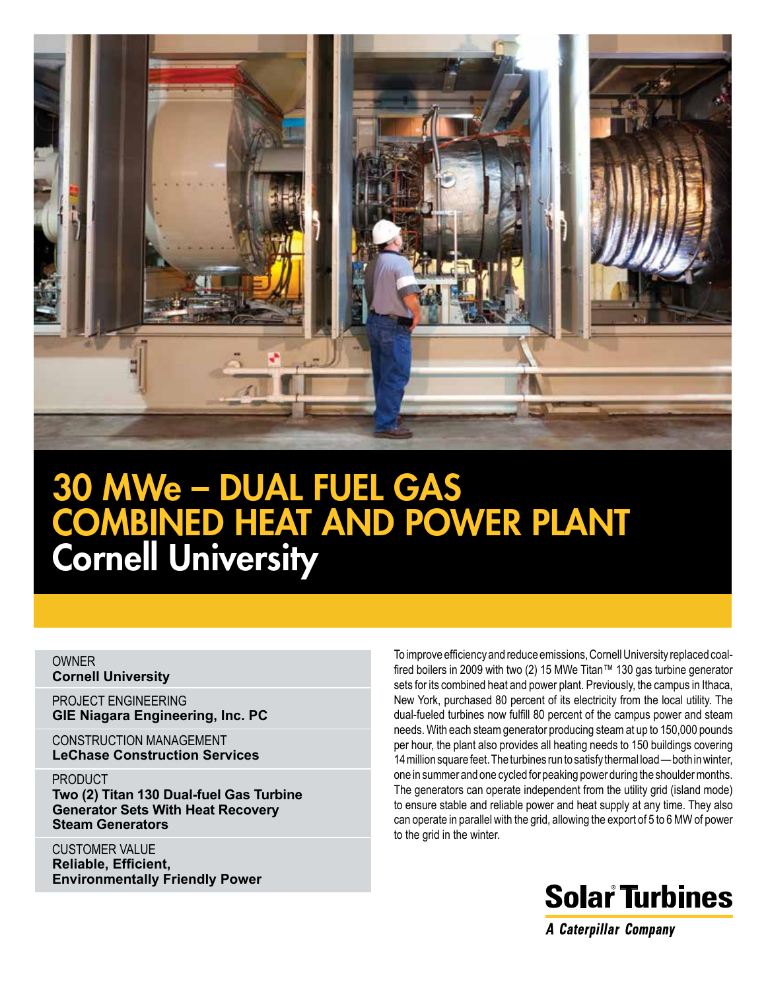

# 30 MWe – DUAL FUEL GAS COMBINED HEAT AND POWER PLANT Cornell University

#### OWNER **Cornell University**

PROJECT ENGINEERING **GIE Niagara Engineering, Inc. PC**

CONSTRUCTION MANAGEMENT **LeChase Construction Services**

#### PRODUCT

**Two (2) Titan 130 Dual-fuel Gas Turbine Generator Sets With Heat Recovery Steam Generators**

CUSTOMER VALUE **Reliable, Efficient, Environmentally Friendly Power** To improve efficiency and reduce emissions, Cornell University replaced coalfired boilers in 2009 with two (2) 15 MWe Titan™ 130 gas turbine generator sets for its combined heat and power plant. Previously, the campus in Ithaca, New York, purchased 80 percent of its electricity from the local utility. The dual-fueled turbines now fulfill 80 percent of the campus power and steam needs. With each steam generator producing steam at up to 150,000 pounds per hour, the plant also provides all heating needs to 150 buildings covering 14 million square feet. The turbines run to satisfy thermal load — both in winter, one in summer and one cycled for peaking power during the shoulder months. The generators can operate independent from the utility grid (island mode) to ensure stable and reliable power and heat supply at any time. They also can operate in parallel with the grid, allowing the export of 5 to 6 MW of power to the grid in the winter.



**A Caterpillar Company**